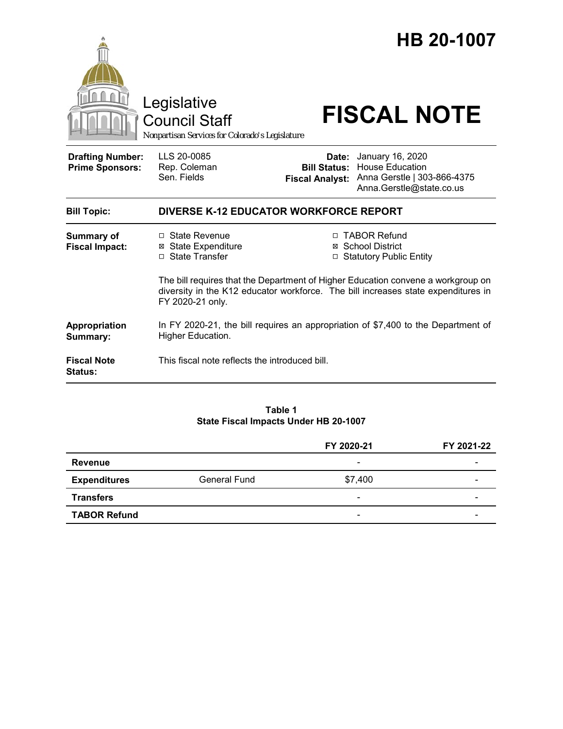|                                                   | Legislative<br><b>Council Staff</b><br>Nonpartisan Services for Colorado's Legislature                 |                                                        | HB 20-1007<br><b>FISCAL NOTE</b>                                                                                                                     |  |
|---------------------------------------------------|--------------------------------------------------------------------------------------------------------|--------------------------------------------------------|------------------------------------------------------------------------------------------------------------------------------------------------------|--|
| <b>Drafting Number:</b><br><b>Prime Sponsors:</b> | LLS 20-0085<br>Rep. Coleman<br>Sen. Fields                                                             | Date:<br><b>Bill Status:</b><br><b>Fiscal Analyst:</b> | January 16, 2020<br>House Education<br>Anna Gerstle   303-866-4375<br>Anna.Gerstle@state.co.us                                                       |  |
| <b>Bill Topic:</b>                                | <b>DIVERSE K-12 EDUCATOR WORKFORCE REPORT</b>                                                          |                                                        |                                                                                                                                                      |  |
| <b>Summary of</b><br><b>Fiscal Impact:</b>        | $\Box$ State Revenue<br><b>⊠ State Expenditure</b><br>□ State Transfer                                 |                                                        | □ TABOR Refund<br>⊠ School District<br>□ Statutory Public Entity<br>The bill requires that the Department of Higher Education convene a workgroup on |  |
|                                                   | diversity in the K12 educator workforce. The bill increases state expenditures in<br>FY 2020-21 only.  |                                                        |                                                                                                                                                      |  |
| Appropriation<br>Summary:                         | In FY 2020-21, the bill requires an appropriation of \$7,400 to the Department of<br>Higher Education. |                                                        |                                                                                                                                                      |  |
| <b>Fiscal Note</b><br><b>Status:</b>              | This fiscal note reflects the introduced bill.                                                         |                                                        |                                                                                                                                                      |  |

#### **Table 1 State Fiscal Impacts Under HB 20-1007**

|                     |              | FY 2020-21               | FY 2021-22 |
|---------------------|--------------|--------------------------|------------|
| <b>Revenue</b>      |              | $\overline{\phantom{a}}$ |            |
| <b>Expenditures</b> | General Fund | \$7,400                  | -          |
| <b>Transfers</b>    |              | $\overline{\phantom{0}}$ | -          |
| <b>TABOR Refund</b> |              | $\overline{\phantom{a}}$ |            |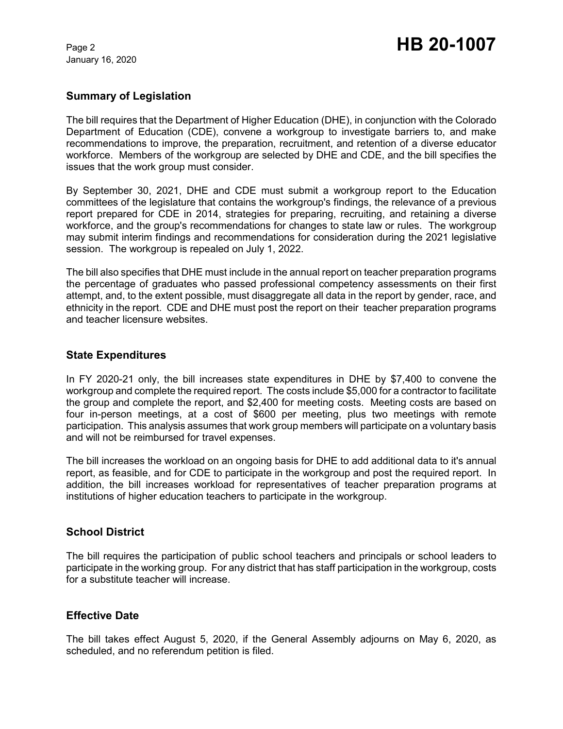January 16, 2020

### **Summary of Legislation**

The bill requires that the Department of Higher Education (DHE), in conjunction with the Colorado Department of Education (CDE), convene a workgroup to investigate barriers to, and make recommendations to improve, the preparation, recruitment, and retention of a diverse educator workforce. Members of the workgroup are selected by DHE and CDE, and the bill specifies the issues that the work group must consider.

By September 30, 2021, DHE and CDE must submit a workgroup report to the Education committees of the legislature that contains the workgroup's findings, the relevance of a previous report prepared for CDE in 2014, strategies for preparing, recruiting, and retaining a diverse workforce, and the group's recommendations for changes to state law or rules. The workgroup may submit interim findings and recommendations for consideration during the 2021 legislative session. The workgroup is repealed on July 1, 2022.

The bill also specifies that DHE must include in the annual report on teacher preparation programs the percentage of graduates who passed professional competency assessments on their first attempt, and, to the extent possible, must disaggregate all data in the report by gender, race, and ethnicity in the report. CDE and DHE must post the report on their teacher preparation programs and teacher licensure websites.

### **State Expenditures**

In FY 2020-21 only, the bill increases state expenditures in DHE by \$7,400 to convene the workgroup and complete the required report. The costs include \$5,000 for a contractor to facilitate the group and complete the report, and \$2,400 for meeting costs. Meeting costs are based on four in-person meetings, at a cost of \$600 per meeting, plus two meetings with remote participation. This analysis assumes that work group members will participate on a voluntary basis and will not be reimbursed for travel expenses.

The bill increases the workload on an ongoing basis for DHE to add additional data to it's annual report, as feasible, and for CDE to participate in the workgroup and post the required report. In addition, the bill increases workload for representatives of teacher preparation programs at institutions of higher education teachers to participate in the workgroup.

## **School District**

The bill requires the participation of public school teachers and principals or school leaders to participate in the working group. For any district that has staff participation in the workgroup, costs for a substitute teacher will increase.

### **Effective Date**

The bill takes effect August 5, 2020, if the General Assembly adjourns on May 6, 2020, as scheduled, and no referendum petition is filed.